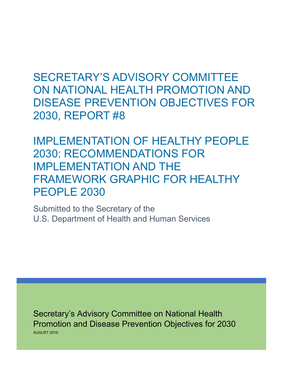SECRETARY'S ADVISORY COMMITTEE ON NATIONAL HEALTH PROMOTION AND DISEASE PREVENTION OBJECTIVES FOR 2030, REPORT #8

IMPLEMENTATION OF HEALTHY PEOPLE 2030: RECOMMENDATIONS FOR IMPLEMENTATION AND THE FRAMEWORK GRAPHIC FOR HEALTHY PEOPLE 2030

Submitted to the Secretary of the U.S. Department of Health and Human Services

Secretary's Advisory Committee on National Health AUGUST 2019 Promotion and Disease Prevention Objectives for 2030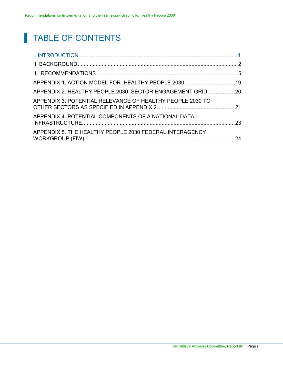# TABLE OF CONTENTS

| APPENDIX 2. HEALTHY PEOPLE 2030: SECTOR ENGAGEMENT GRID20 |  |
|-----------------------------------------------------------|--|
| APPENDIX 3. POTENTIAL RELEVANCE OF HEALTHY PEOPLE 2030 TO |  |
| APPENDIX 4. POTENTIAL COMPONENTS OF A NATIONAL DATA       |  |
| APPENDIX 5. THE HEALTHY PEOPLE 2030 FEDERAL INTERAGENCY   |  |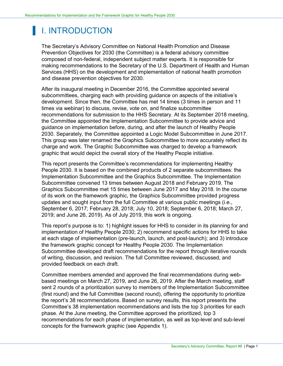# <span id="page-2-0"></span>I. INTRODUCTION

The Secretary's Advisory Committee on National Health Promotion and Disease Prevention Objectives for 2030 (the Committee) is a federal advisory committee composed of non-federal, independent subject matter experts. It is responsible for making recommendations to the Secretary of the U.S. Department of Health and Human Services (HHS) on the development and implementation of national health promotion and disease prevention objectives for 2030.

After its inaugural meeting in December 2016, the Committee appointed several subcommittees, charging each with providing guidance on aspects of the initiative's development. Since then, the Committee has met 14 times (3 times in person and 11 times via webinar) to discuss, revise, vote on, and finalize subcommittee recommendations for submission to the HHS Secretary. At its September 2018 meeting, the Committee appointed the Implementation Subcommittee to provide advice and guidance on implementation before, during, and after the launch of Healthy People 2030. Separately, the Committee appointed a Logic Model Subcommittee in June 2017. This group was later renamed the Graphics Subcommittee to more accurately reflect its charge and work. The Graphic Subcommittee was charged to develop a framework graphic that would depict the overall story of the Healthy People initiative.

This report presents the Committee's recommendations for implementing Healthy People 2030. It is based on the combined products of 2 separate subcommittees: the Implementation Subcommittee and the Graphics Subcommittee. The Implementation Subcommittee convened 13 times between August 2018 and February 2019. The Graphics Subcommittee met 15 times between June 2017 and May 2018. In the course of its work on the framework graphic, the Graphics Subcommittee provided progress updates and sought input from the full Committee at various public meetings (i.e., September 6, 2017; February 28, 2018; July 10, 2018; September 6, 2018; March 27, 2019; and June 26, 2019). As of July 2019, this work is ongoing.

This report's purpose is to: 1) highlight issues for HHS to consider in its planning for and implementation of Healthy People 2030; 2) recommend specific actions for HHS to take at each stage of implementation (pre-launch, launch, and post-launch); and 3) introduce the framework graphic concept for Healthy People 2030. The Implementation Subcommittee developed draft recommendations for the report through iterative rounds of writing, discussion, and revision. The full Committee reviewed, discussed, and provided feedback on each draft.

Committee members amended and approved the final recommendations during webbased meetings on March 27, 2019, and June 26, 2019. After the March meeting, staff sent 2 rounds of a prioritization survey to members of the Implementation Subcommittee (first round) and the full Committee (second round), offering the opportunity to prioritize the report's 38 recommendations. Based on survey results, this report presents the Committee's 38 implementation recommendations and lists the top 3 priorities for each phase. At the June meeting, the Committee approved the prioritized, top 3 recommendations for each phase of implementation, as well as top-level and sub-level concepts for the framework graphic (see Appendix 1).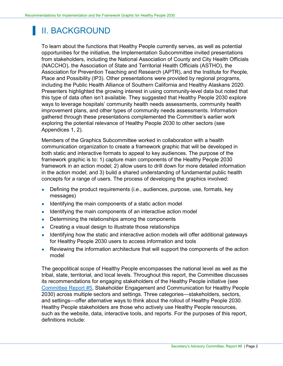## <span id="page-3-0"></span>II. BACKGROUND

To learn about the functions that Healthy People currently serves, as well as potential opportunities for the initiative, the Implementation Subcommittee invited presentations from stakeholders, including the National Association of County and City Health Officials (NACCHO), the Association of State and Territorial Health Officials (ASTHO), the Association for Prevention Teaching and Research (APTR), and the Institute for People, Place and Possibility (IP3). Other presentations were provided by regional programs, including the Public Health Alliance of Southern California and Healthy Alaskans 2020. Presenters highlighted the growing interest in using community-level data but noted that this type of data often isn't available. They suggested that Healthy People 2030 explore ways to leverage hospitals' community health needs assessments, community health improvement plans, and other types of community needs assessments. Information gathered through these presentations complemented the Committee's earlier work exploring the potential relevance of Healthy People 2030 to other sectors (see Appendices 1, 2).

Members of the Graphics Subcommittee worked in collaboration with a health communication organization to create a framework graphic that will be developed in both static and interactive formats to appeal to key audiences. The purpose of the framework graphic is to: 1) capture main components of the Healthy People 2030 framework in an action model; 2) allow users to drill down for more detailed information in the action model; and 3) build a shared understanding of fundamental public health concepts for a range of users. The process of developing the graphics involved:

- Defining the product requirements (i.e., audiences, purpose, use, formats, key messages)
- Identifying the main components of a static action model
- Identifying the main components of an interactive action model
- Determining the relationships among the components
- Creating a visual design to illustrate those relationships
- Identifying how the static and interactive action models will offer additional gateways for Healthy People 2030 users to access information and tools
- Reviewing the information architecture that will support the components of the action model

The geopolitical scope of Healthy People encompasses the national level as well as the tribal, state, territorial, and local levels. Throughout this report, the Committee discusses its recommendations for engaging stakeholders of the Healthy People initiative (see [Committee Report #5,](https://www.healthypeople.gov/sites/default/files/Stakeholder%20Engagement_Communication%20Report_12-02-18_FINAL-WEB-Version_508c.pdf) Stakeholder Engagement and Communication for Healthy People 2030) across multiple sectors and settings. Three categories—stakeholders, sectors, and settings—offer alternative ways to think about the rollout of Healthy People 2030. Healthy People stakeholders are those who actively use Healthy People resources, such as the website, data, interactive tools, and reports. For the purposes of this report, definitions include: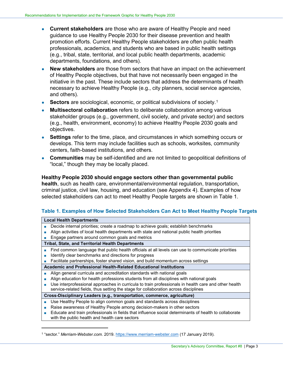- **Current stakeholders** are those who are aware of Healthy People and need guidance to use Healthy People 2030 for their disease prevention and health promotion efforts. Current Healthy People stakeholders are often public health professionals, academics, and students who are based in public health settings (e.g., tribal, state, territorial, and local public health departments, academic departments, foundations, and others).
- **New stakeholders** are those from sectors that have an impact on the achievement of Healthy People objectives, but that have not necessarily been engaged in the initiative in the past. These include sectors that address the determinants of health necessary to achieve Healthy People (e.g., city planners, social service agencies, and others).
- **Sectors** are sociological, economic, or political subdivisions of society.<sup>[1](#page-4-0)</sup>
- **Multisectoral collaboration** refers to deliberate collaboration among various stakeholder groups (e.g., government, civil society, and private sector) and sectors (e.g., health, environment, economy) to achieve Healthy People 2030 goals and objectives.
- **Settings** refer to the time, place, and circumstances in which something occurs or develops. This term may include facilities such as schools, worksites, community centers, faith-based institutions, and others.
- **Communities** may be self-identified and are not limited to geopolitical definitions of "local," though they may be locally placed.

**Healthy People 2030 should engage sectors other than governmental public health**, such as health care, environmental/environmental regulation, transportation, criminal justice, civil law, housing, and education (see Appendix 4). Examples of how selected stakeholders can act to meet Healthy People targets are shown in Table 1.

### **Table 1. Examples of How Selected Stakeholders Can Act to Meet Healthy People Targets**

| <b>Local Health Departments</b>                                                                       |  |  |
|-------------------------------------------------------------------------------------------------------|--|--|
| Decide internal priorities; create a roadmap to achieve goals; establish benchmarks                   |  |  |
| Align activities of local health departments with state and national public health priorities         |  |  |
| Engage partners around common goals and metrics                                                       |  |  |
| <b>Tribal, State, and Territorial Health Departments</b>                                              |  |  |
| Find common language that public health officials at all levels can use to communicate priorities     |  |  |
| Identify clear benchmarks and directions for progress                                                 |  |  |
| Facilitate partnerships, foster shared vision, and build momentum across settings                     |  |  |
| <b>Academic and Professional Health-Related Educational Institutions</b>                              |  |  |
| Align general curricula and accreditation standards with national goals                               |  |  |
| Align education for health professions students from all disciplines with national goals              |  |  |
| Use interprofessional approaches in curricula to train professionals in health care and other health  |  |  |
| service-related fields, thus setting the stage for collaboration across disciplines                   |  |  |
| Cross-Disciplinary Leaders (e.g., transportation, commerce, agriculture)                              |  |  |
| Use Healthy People to align common goals and standards across disciplines                             |  |  |
| Raise awareness of Healthy People among decision-makers in other sectors                              |  |  |
| Educate and train professionals in fields that influence social determinants of health to collaborate |  |  |
| with the public health and health care sectors                                                        |  |  |

<span id="page-4-0"></span><sup>1 &</sup>quot;sector." *Merriam-Webster.com.* 2019[. https://www.merriam-webster.com](https://www.merriam-webster.com/) (17 January 2019).

-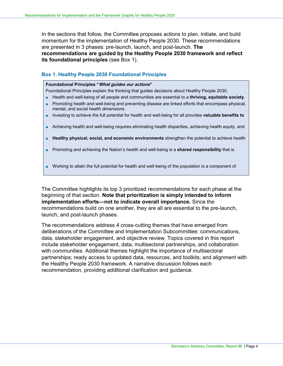In the sections that follow, the Committee proposes actions to plan, initiate, and build momentum for the implementation of Healthy People 2030. These recommendations are presented in 3 phases: pre-launch, launch, and post-launch. **The recommendations are guided by the Healthy People 2030 framework and reflect its foundational principles** (see Box 1).

#### **Box 1. Healthy People 2030 Foundational Principles**

#### **Foundational Principles "What guides our actions"**

Foundational Principles explain the thinking that guides decisions about Healthy People 2030.

- Health and well-being of all people and communities are essential to a **thriving, equitable society**.
- Promoting health and well-being and preventing disease are linked efforts that encompass physical, mental, and social health dimensions.
- Investing to achieve the full potential for health and well-being for all provides **valuable benefits to**
- Achieving health and well-being requires eliminating health disparities, achieving health equity, and
- **Healthy physical, social, and economic environments** strengthen the potential to achieve health
- Promoting and achieving the Nation's health and well-being is a **shared responsibility** that is
- Working to attain the full potential for health and well-being of the population is a component of

The Committee highlights its top 3 prioritized recommendations for each phase at the beginning of that section. **Note that prioritization is simply intended to inform implementation efforts—not to indicate overall importance.** Since the recommendations build on one another, they are all are essential to the pre-launch, launch, and post-launch phases.

The recommendations address 4 cross-cutting themes that have emerged from deliberations of the Committee and Implementation Subcommittee: communications, data, stakeholder engagement, and objective review. Topics covered in this report include stakeholder engagement, data, multisectoral partnerships, and collaboration with communities. Additional themes highlight the importance of multisectoral partnerships; ready access to updated data, resources, and toolkits; and alignment with the Healthy People 2030 framework. A narrative discussion follows each recommendation, providing additional clarification and guidance.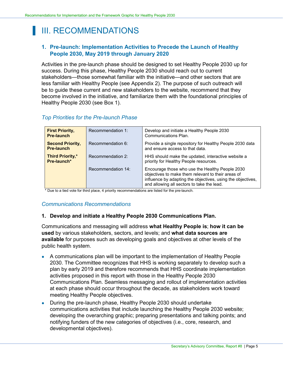# <span id="page-6-0"></span>III. RECOMMENDATIONS

## **1. Pre-launch: Implementation Activities to Precede the Launch of Healthy People 2030, May 2019 through January 2020**

Activities in the pre-launch phase should be designed to set Healthy People 2030 up for success. During this phase, Healthy People 2030 should reach out to current stakeholders—those somewhat familiar with the initiative—and other sectors that are less familiar with Healthy People (see Appendix 2). The purpose of such outreach will be to guide these current and new stakeholders to the website, recommend that they become involved in the initiative, and familiarize them with the foundational principles of Healthy People 2030 (see Box 1).

| <b>First Priority,</b><br><b>Pre-launch</b>  | Recommendation 1:  | Develop and initiate a Healthy People 2030<br>Communications Plan.                                                                                                                                                 |
|----------------------------------------------|--------------------|--------------------------------------------------------------------------------------------------------------------------------------------------------------------------------------------------------------------|
| <b>Second Priority,</b><br><b>Pre-launch</b> | Recommendation 6:  | Provide a single repository for Healthy People 2030 data<br>and ensure access to that data.                                                                                                                        |
| <b>Third Priority,*</b><br>Pre-launch*       | Recommendation 2:  | HHS should make the updated, interactive website a<br>priority for Healthy People resources.                                                                                                                       |
|                                              | Recommendation 14: | Encourage those who use the Healthy People 2030<br>objectives to make them relevant to their areas of<br>influence by adapting the objectives, using the objectives,<br>and allowing all sectors to take the lead. |

## *Top Priorities for the Pre-launch Phase*

\* Due to a tied vote for third place, 4 priority recommendations are listed for the pre-launch.

## *Communications Recommendations*

### **1. Develop and initiate a Healthy People 2030 Communications Plan.**

Communications and messaging will address **what Healthy People is**; **how it can be used** by various stakeholders, sectors, and levels; and **what data sources are available** for purposes such as developing goals and objectives at other levels of the public health system.

- A communications plan will be important to the implementation of Healthy People 2030. The Committee recognizes that HHS is working separately to develop such a plan by early 2019 and therefore recommends that HHS coordinate implementation activities proposed in this report with those in the Healthy People 2030 Communications Plan. Seamless messaging and rollout of implementation activities at each phase should occur throughout the decade, as stakeholders work toward meeting Healthy People objectives.
- During the pre-launch phase, Healthy People 2030 should undertake communications activities that include launching the Healthy People 2030 website; developing the overarching graphic; preparing presentations and talking points; and notifying funders of the new categories of objectives (i.e., core, research, and developmental objectives).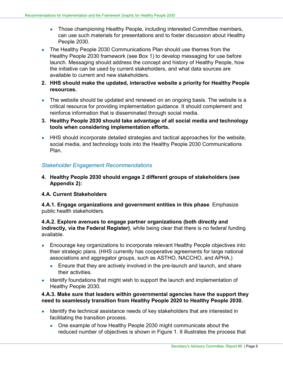- Those championing Healthy People, including interested Committee members, can use such materials for presentations and to foster discussion about Healthy People 2030.
- The Healthy People 2030 Communications Plan should use themes from the Healthy People 2030 framework (see Box 1) to develop messaging for use before launch. Messaging should address the concept and history of Healthy People, how the initiative can be used by current stakeholders, and what data sources are available to current and new stakeholders.
- **2. HHS should make the updated, interactive website a priority for Healthy People resources.**
- The website should be updated and renewed on an ongoing basis. The website is a critical resource for providing implementation guidance. It should complement and reinforce information that is disseminated through social media.
- **3. Healthy People 2030 should take advantage of all social media and technology tools when considering implementation efforts.**
- HHS should incorporate detailed strategies and tactical approaches for the website, social media, and technology tools into the Healthy People 2030 Communications Plan.

## *Stakeholder Engagement Recommendations*

**4. Healthy People 2030 should engage 2 different groups of stakeholders (see Appendix 2):**

## **4.A. Current Stakeholders**

**4.A.1. Engage organizations and government entities in this phase**. Emphasize public health stakeholders.

## **4.A.2. Explore avenues to engage partner organizations (both directly and indirectly, via the Federal Register)**, while being clear that there is no federal funding available.

- Encourage key organizations to incorporate relevant Healthy People objectives into their strategic plans. (HHS currently has cooperative agreements for large national associations and aggregator groups, such as ASTHO, NACCHO, and APHA.)
	- Ensure that they are actively involved in the pre-launch and launch, and share their activities.
- Identify foundations that might wish to support the launch and implementation of Healthy People 2030.

### **4.A.3. Make sure that leaders within governmental agencies have the support they need to seamlessly transition from Healthy People 2020 to Healthy People 2030.**

- Identify the technical assistance needs of key stakeholders that are interested in facilitating the transition process.
	- One example of how Healthy People 2030 might communicate about the reduced number of objectives is shown in Figure 1. It illustrates the process that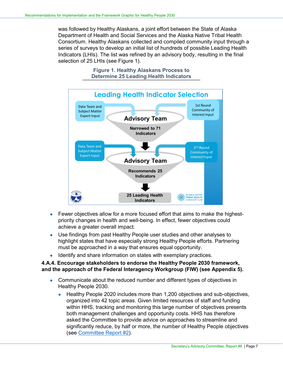was followed by Healthy Alaskans, a joint effort between the State of Alaska Department of Health and Social Services and the Alaska Native Tribal Health Consortium. Healthy Alaskans collected and compiled community input through a series of surveys to develop an initial list of hundreds of possible Leading Health Indicators (LHIs). The list was refined by an advisory body, resulting in the final selection of 25 LHIs (see Figure 1).

> **Figure 1. Healthy Alaskans Process to Determine 25 Leading Health Indicators**



- Fewer objectives allow for a more focused effort that aims to make the highestpriority changes in health and well-being. In effect, fewer objectives could achieve a greater overall impact.
- Use findings from past Healthy People user studies and other analyses to highlight states that have especially strong Healthy People efforts. Partnering must be approached in a way that ensures equal opportunity.
- Identify and share information on states with exemplary practices.

## **4.A.4. Encourage stakeholders to endorse the Healthy People 2030 framework, and the approach of the Federal Interagency Workgroup (FIW) (see Appendix 5).**

- Communicate about the reduced number and different types of objectives in Healthy People 2030.
	- Healthy People 2020 includes more than 1,200 objectives and sub-objectives, organized into 42 topic areas. Given limited resources of staff and funding within HHS, tracking and monitoring this large number of objectives presents both management challenges and opportunity costs. HHS has therefore asked the Committee to provide advice on approaches to streamline and significantly reduce, by half or more, the number of Healthy People objectives (see [Committee Report #2\)](https://www.healthypeople.gov/sites/default/files/Advisory_Committee_Objectives_for_HP2030_Report.pdf).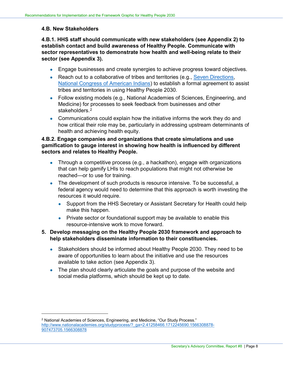#### **4.B. New Stakeholders**

-

**4.B.1. HHS staff should communicate with new stakeholders (see Appendix 2) to establish contact and build awareness of Healthy People. Communicate with sector representatives to demonstrate how health and well-being relate to their sector (see Appendix 3).**

- Engage businesses and create synergies to achieve progress toward objectives.
- Reach out to a collaborative of tribes and territories (e.g., [Seven Directions,](https://indigenousphi.org/) [National Congress of American Indians\)](http://www.ncai.org/initiatives/partnerships-initiatives/tribalstate-collaboration-project) to establish a formal agreement to assist tribes and territories in using Healthy People 2030.
- Follow existing models (e.g., National Academies of Sciences, Engineering, and Medicine) for processes to seek feedback from businesses and other stakeholders<sup>[2](#page-9-0)</sup>
- Communications could explain how the initiative informs the work they do and how critical their role may be, particularly in addressing upstream determinants of health and achieving health equity.

### **4.B.2. Engage companies and organizations that create simulations and use gamification to gauge interest in showing how health is influenced by different sectors and relates to Healthy People.**

- Through a competitive process (e.g., a hackathon), engage with organizations that can help gamify LHIs to reach populations that might not otherwise be reached—or to use for training.
- The development of such products is resource intensive. To be successful, a federal agency would need to determine that this approach is worth investing the resources it would require.
	- Support from the HHS Secretary or Assistant Secretary for Health could help make this happen.
	- Private sector or foundational support may be available to enable this resource-intensive work to move forward.

## **5. Develop messaging on the Healthy People 2030 framework and approach to help stakeholders disseminate information to their constituencies.**

- Stakeholders should be informed about Healthy People 2030. They need to be aware of opportunities to learn about the initiative and use the resources available to take action (see Appendix 3).
- The plan should clearly articulate the goals and purpose of the website and social media platforms, which should be kept up to date.

<span id="page-9-0"></span><sup>&</sup>lt;sup>2</sup> National Academies of Sciences, Engineering, and Medicine, "Our Study Process." [http://www.nationalacademies.org/studyprocess/?\\_ga=2.41258466.1712245690.1566308878-](http://www.nationalacademies.org/studyprocess/?_ga=2.41258466.1712245690.1566308878-907473705.1566308878) [907473705.1566308878](http://www.nationalacademies.org/studyprocess/?_ga=2.41258466.1712245690.1566308878-907473705.1566308878)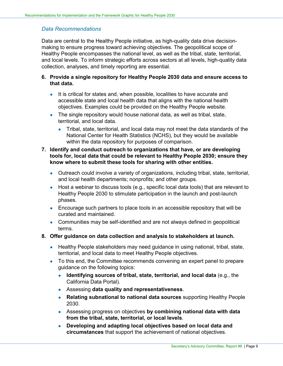## *Data Recommendations*

Data are central to the Healthy People initiative, as high-quality data drive decisionmaking to ensure progress toward achieving objectives. The geopolitical scope of Healthy People encompasses the national level, as well as the tribal, state, territorial, and local levels. To inform strategic efforts across sectors at all levels, high-quality data collection, analyses, and timely reporting are essential.

## **6. Provide a single repository for Healthy People 2030 data and ensure access to that data.**

- It is critical for states and, when possible, localities to have accurate and accessible state and local health data that aligns with the national health objectives. Examples could be provided on the Healthy People website.
- The single repository would house national data, as well as tribal, state, territorial, and local data.
	- Tribal, state, territorial, and local data may not meet the data standards of the National Center for Health Statistics (NCHS), but they would be available within the data repository for purposes of comparison.

### **7. Identify and conduct outreach to organizations that have, or are developing tools for, local data that could be relevant to Healthy People 2030; ensure they know where to submit these tools for sharing with other entities.**

- Outreach could involve a variety of organizations, including tribal, state, territorial, and local health departments; nonprofits; and other groups.
- Host a webinar to discuss tools (e.g., specific local data tools) that are relevant to Healthy People 2030 to stimulate participation in the launch and post-launch phases.
- Encourage such partners to place tools in an accessible repository that will be curated and maintained.
- Communities may be self-identified and are not always defined in geopolitical terms.
- **8. Offer guidance on data collection and analysis to stakeholders at launch.** 
	- Healthy People stakeholders may need guidance in using national, tribal, state, territorial, and local data to meet Healthy People objectives.
	- To this end, the Committee recommends convening an expert panel to prepare guidance on the following topics:
		- **Identifying sources of tribal, state, territorial, and local data** (e.g., the California Data Portal).
		- Assessing **data quality and representativeness**.
		- **Relating subnational to national data sources** supporting Healthy People 2030.
		- Assessing progress on objectives **by combining national data with data from the tribal, state, territorial, or local levels**.
		- **Developing and adapting local objectives based on local data and circumstances** that support the achievement of national objectives.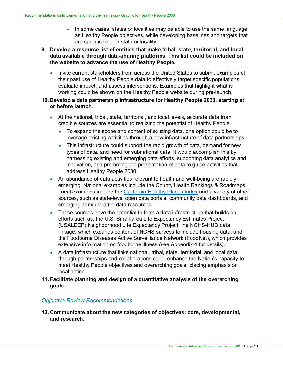- In some cases, states or localities may be able to use the same language as Healthy People objectives, while developing baselines and targets that are specific to their state or locality.
- **9. Develop a resource list of entities that make tribal, state, territorial, and local data available through data-sharing platforms. This list could be included on the website to advance the use of Healthy People.**
	- Invite current stakeholders from across the United States to submit examples of their past use of Healthy People data to effectively target specific populations, evaluate impact, and assess interventions. Examples that highlight what is working could be shown on the Healthy People website during pre-launch.
- **10. Develop a data partnership infrastructure for Healthy People 2030, starting at or before launch.** 
	- At the national, tribal, state, territorial, and local levels, accurate data from credible sources are essential to realizing the potential of Healthy People.
		- To expand the scope and content of existing data, one option could be to leverage existing activities through a new infrastructure of data partnerships.
		- This infrastructure could support the rapid growth of data, demand for new types of data, and need for subnational data. It would accomplish this by harnessing existing and emerging data efforts, supporting data analytics and innovation, and promoting the presentation of data to guide activities that address Healthy People 2030.
	- An abundance of data activities relevant to health and well-being are rapidly emerging. National examples include the County Health Rankings & Roadmaps. Local examples include the [California Healthy Places Index](https://healthyplacesindex.org/) and a variety of other sources, such as state-level open data portals, community data dashboards, and emerging administrative data resources.
	- These sources have the potential to form a data infrastructure that builds on efforts such as: the U.S. Small-area Life Expectancy Estimates Project (USALEEP) Neighborhood Life Expectancy Project; the NCHS-HUD data linkage, which expands content of NCHS surveys to include housing data; and the Foodborne Diseases Active Surveillance Network (FoodNet), which provides extensive information on foodborne illness (see Appendix 4 for details).
	- A data infrastructure that links national, tribal, state, territorial, and local data through partnerships and collaborations could enhance the Nation's capacity to meet Healthy People objectives and overarching goals, placing emphasis on local action.
- **11. Facilitate planning and design of a quantitative analysis of the overarching goals.**

## *Objective Review Recommendations*

**12. Communicate about the new categories of objectives: core, developmental, and research.**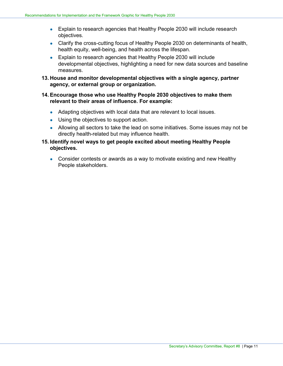- Explain to research agencies that Healthy People 2030 will include research objectives.
- Clarify the cross-cutting focus of Healthy People 2030 on determinants of health, health equity, well-being, and health across the lifespan.
- Explain to research agencies that Healthy People 2030 will include developmental objectives, highlighting a need for new data sources and baseline measures.
- **13. House and monitor developmental objectives with a single agency, partner agency, or external group or organization.**

## **14. Encourage those who use Healthy People 2030 objectives to make them relevant to their areas of influence. For example:**

- Adapting objectives with local data that are relevant to local issues.
- Using the objectives to support action.
- Allowing all sectors to take the lead on some initiatives. Some issues may not be directly health-related but may influence health.
- **15. Identify novel ways to get people excited about meeting Healthy People objectives.**
	- Consider contests or awards as a way to motivate existing and new Healthy People stakeholders.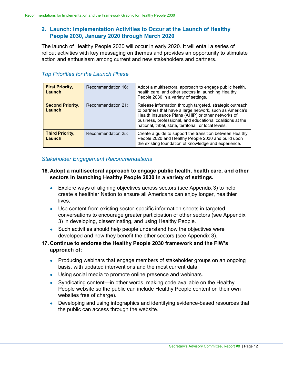## **2. Launch: Implementation Activities to Occur at the Launch of Healthy People 2030, January 2020 through March 2020**

The launch of Healthy People 2030 will occur in early 2020. It will entail a series of rollout activities with key messaging on themes and provides an opportunity to stimulate action and enthusiasm among current and new stakeholders and partners.

| <b>First Priority,</b><br>Launch  | Recommendation 16: | Adopt a multisectoral approach to engage public health,<br>health care, and other sectors in launching Healthy<br>People 2030 in a variety of settings.                                                                                                                                           |
|-----------------------------------|--------------------|---------------------------------------------------------------------------------------------------------------------------------------------------------------------------------------------------------------------------------------------------------------------------------------------------|
| <b>Second Priority,</b><br>Launch | Recommendation 21: | Release information through targeted, strategic outreach<br>to partners that have a large network, such as America's<br>Health Insurance Plans (AHIP) or other networks of<br>business, professional, and educational coalitions at the<br>national, tribal, state, territorial, or local levels. |
| <b>Third Priority,</b><br>Launch  | Recommendation 25: | Create a guide to support the transition between Healthy<br>People 2020 and Healthy People 2030 and build upon<br>the existing foundation of knowledge and experience.                                                                                                                            |

## *Top Priorities for the Launch Phase*

### *Stakeholder Engagement Recommendations*

## **16. Adopt a multisectoral approach to engage public health, health care, and other sectors in launching Healthy People 2030 in a variety of settings.**

- Explore ways of aligning objectives across sectors (see Appendix 3) to help create a healthier Nation to ensure all Americans can enjoy longer, healthier lives.
- Use content from existing sector-specific information sheets in targeted conversations to encourage greater participation of other sectors (see Appendix 3) in developing, disseminating, and using Healthy People.
- Such activities should help people understand how the objectives were developed and how they benefit the other sectors (see Appendix 3).
- **17. Continue to endorse the Healthy People 2030 framework and the FIW's approach of:**
	- Producing webinars that engage members of stakeholder groups on an ongoing basis, with updated interventions and the most current data.
	- Using social media to promote online presence and webinars.
	- Syndicating content—in other words, making code available on the Healthy People website so the public can include Healthy People content on their own websites free of charge).
	- Developing and using infographics and identifying evidence-based resources that the public can access through the website.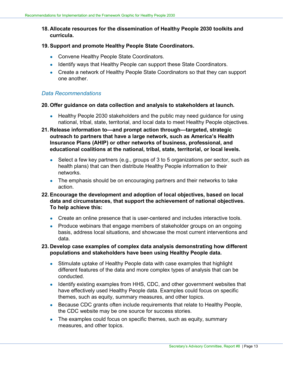**18. Allocate resources for the dissemination of Healthy People 2030 toolkits and curricula.**

#### **19. Support and promote Healthy People State Coordinators.**

- Convene Healthy People State Coordinators.
- Identify ways that Healthy People can support these State Coordinators.
- Create a network of Healthy People State Coordinators so that they can support one another.

#### *Data Recommendations*

#### **20. Offer guidance on data collection and analysis to stakeholders at launch.**

- Healthy People 2030 stakeholders and the public may need guidance for using national, tribal, state, territorial, and local data to meet Healthy People objectives.
- **21. Release information to—and prompt action through—targeted, strategic outreach to partners that have a large network, such as America's Health Insurance Plans (AHIP) or other networks of business, professional, and educational coalitions at the national, tribal, state, territorial, or local levels.** 
	- Select a few key partners (e.g., groups of 3 to 5 organizations per sector, such as health plans) that can then distribute Healthy People information to their networks.
	- The emphasis should be on encouraging partners and their networks to take action.
- **22. Encourage the development and adoption of local objectives, based on local data and circumstances, that support the achievement of national objectives. To help achieve this:** 
	- Create an online presence that is user-centered and includes interactive tools.
	- Produce webinars that engage members of stakeholder groups on an ongoing basis, address local situations, and showcase the most current interventions and data.

## **23. Develop case examples of complex data analysis demonstrating how different populations and stakeholders have been using Healthy People data.**

- Stimulate uptake of Healthy People data with case examples that highlight different features of the data and more complex types of analysis that can be conducted.
- Identify existing examples from HHS, CDC, and other government websites that have effectively used Healthy People data. Examples could focus on specific themes, such as equity, summary measures, and other topics.
- Because CDC grants often include requirements that relate to Healthy People, the CDC website may be one source for success stories.
- The examples could focus on specific themes, such as equity, summary measures, and other topics.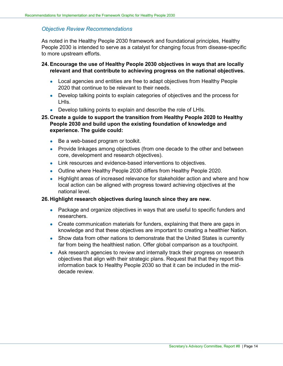#### *Objective Review Recommendations*

As noted in the Healthy People 2030 framework and foundational principles, Healthy People 2030 is intended to serve as a catalyst for changing focus from disease-specific to more upstream efforts.

#### **24. Encourage the use of Healthy People 2030 objectives in ways that are locally relevant and that contribute to achieving progress on the national objectives.**

- Local agencies and entities are free to adapt objectives from Healthy People 2020 that continue to be relevant to their needs.
- Develop talking points to explain categories of objectives and the process for LHIs.
- Develop talking points to explain and describe the role of LHIs.

## **25. Create a guide to support the transition from Healthy People 2020 to Healthy People 2030 and build upon the existing foundation of knowledge and experience. The guide could:**

- Be a web-based program or toolkit.
- Provide linkages among objectives (from one decade to the other and between core, development and research objectives).
- Link resources and evidence-based interventions to objectives.
- Outline where Healthy People 2030 differs from Healthy People 2020.
- Highlight areas of increased relevance for stakeholder action and where and how local action can be aligned with progress toward achieving objectives at the national level.

#### **26. Highlight research objectives during launch since they are new.**

- Package and organize objectives in ways that are useful to specific funders and researchers.
- Create communication materials for funders, explaining that there are gaps in knowledge and that these objectives are important to creating a healthier Nation.
- Show data from other nations to demonstrate that the United States is currently far from being the healthiest nation. Offer global comparison as a touchpoint.
- Ask research agencies to review and internally track their progress on research objectives that align with their strategic plans. Request that that they report this information back to Healthy People 2030 so that it can be included in the middecade review.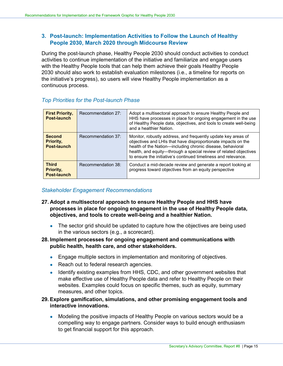## **3. Post-launch: Implementation Activities to Follow the Launch of Healthy People 2030, March 2020 through Midcourse Review**

During the post-launch phase, Healthy People 2030 should conduct activities to conduct activities to continue implementation of the initiative and familiarize and engage users with the Healthy People tools that can help them achieve their goals Healthy People 2030 should also work to establish evaluation milestones (i.e., a timeline for reports on the initiative's progress), so users will view Healthy People implementation as a continuous process.

## *Top Priorities for the Post-launch Phase*

| <b>First Priority,</b><br>Post-launch     | Recommendation 27: | Adopt a multisectoral approach to ensure Healthy People and<br>HHS have processes in place for ongoing engagement in the use<br>of Healthy People data, objectives, and tools to create well-being<br>and a healthier Nation.                                                                                                       |
|-------------------------------------------|--------------------|-------------------------------------------------------------------------------------------------------------------------------------------------------------------------------------------------------------------------------------------------------------------------------------------------------------------------------------|
| <b>Second</b><br>Priority,<br>Post-launch | Recommendation 37: | Monitor, robustly address, and frequently update key areas of<br>objectives and LHIs that have disproportionate impacts on the<br>health of the Nation-including chronic disease, behavioral<br>health, and equity-through a special review of related objectives<br>to ensure the initiative's continued timeliness and relevance. |
| <b>Third</b><br>Priority,<br>Post-launch  | Recommendation 38: | Conduct a mid-decade review and generate a report looking at<br>progress toward objectives from an equity perspective                                                                                                                                                                                                               |

## *Stakeholder Engagement Recommendations*

- **27. Adopt a multisectoral approach to ensure Healthy People and HHS have processes in place for ongoing engagement in the use of Healthy People data, objectives, and tools to create well-being and a healthier Nation.**
	- The sector grid should be updated to capture how the objectives are being used in the various sectors (e.g., a scorecard).

## **28. Implement processes for ongoing engagement and communications with public health, health care, and other stakeholders.**

- Engage multiple sectors in implementation and monitoring of objectives.
- Reach out to federal research agencies.
- Identify existing examples from HHS, CDC, and other government websites that make effective use of Healthy People data and refer to Healthy People on their websites. Examples could focus on specific themes, such as equity, summary measures, and other topics.

## **29. Explore gamification, simulations, and other promising engagement tools and interactive innovations.**

• Modeling the positive impacts of Healthy People on various sectors would be a compelling way to engage partners. Consider ways to build enough enthusiasm to get financial support for this approach.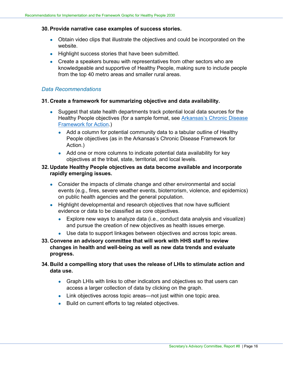#### **30. Provide narrative case examples of success stories.**

- Obtain video clips that illustrate the objectives and could be incorporated on the website.
- Highlight success stories that have been submitted.
- Create a speakers bureau with representatives from other sectors who are knowledgeable and supportive of Healthy People, making sure to include people from the top 40 metro areas and smaller rural areas.

### *Data Recommendations*

#### **31. Create a framework for summarizing objective and data availability.**

- Suggest that state health departments track potential local data sources for the Healthy People objectives (for a sample format, see [Arkansas's Chronic Disease](https://www.healthy.arkansas.gov/images/uploads/pdf/HealthyPeople2020.pdf) [Framework for Action.](https://www.healthy.arkansas.gov/images/uploads/pdf/HealthyPeople2020.pdf))
	- Add a column for potential community data to a tabular outline of Healthy People objectives (as in the Arkansas's Chronic Disease Framework for Action.)
	- Add one or more columns to indicate potential data availability for key objectives at the tribal, state, territorial, and local levels.

## **32. Update Healthy People objectives as data become available and incorporate rapidly emerging issues.**

- Consider the impacts of climate change and other environmental and social events (e.g., fires, severe weather events, bioterrorism, violence, and epidemics) on public health agencies and the general population.
- Highlight developmental and research objectives that now have sufficient evidence or data to be classified as core objectives.
	- **•** Explore new ways to analyze data (i.e., conduct data analysis and visualize) and pursue the creation of new objectives as health issues emerge.
	- Use data to support linkages between objectives and across topic areas.
- **33. Convene an advisory committee that will work with HHS staff to review changes in health and well-being as well as new data trends and evaluate progress.**
- **34. Build a compelling story that uses the release of LHIs to stimulate action and data use.**
	- Graph LHIs with links to other indicators and objectives so that users can access a larger collection of data by clicking on the graph.
	- Link objectives across topic areas—not just within one topic area.
	- Build on current efforts to tag related objectives.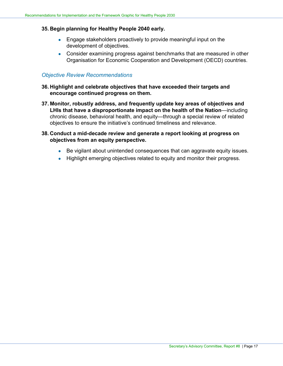#### **35. Begin planning for Healthy People 2040 early.**

- Engage stakeholders proactively to provide meaningful input on the development of objectives.
- Consider examining progress against benchmarks that are measured in other Organisation for Economic Cooperation and Development (OECD) countries.

### *Objective Review Recommendations*

- **36. Highlight and celebrate objectives that have exceeded their targets and encourage continued progress on them.**
- **37. Monitor, robustly address, and frequently update key areas of objectives and LHIs that have a disproportionate impact on the health of the Nation**—including chronic disease, behavioral health, and equity—through a special review of related objectives to ensure the initiative's continued timeliness and relevance.
- **38. Conduct a mid-decade review and generate a report looking at progress on objectives from an equity perspective.**
	- Be vigilant about unintended consequences that can aggravate equity issues.
	- Highlight emerging objectives related to equity and monitor their progress.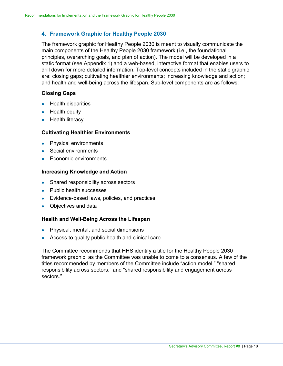## **4. Framework Graphic for Healthy People 2030**

The framework graphic for Healthy People 2030 is meant to visually communicate the main components of the Healthy People 2030 framework (i.e., the foundational principles, overarching goals, and plan of action). The model will be developed in a static format (see Appendix 1) and a web-based, interactive format that enables users to drill down for more detailed information. Top-level concepts included in the static graphic are: closing gaps; cultivating healthier environments; increasing knowledge and action; and health and well-being across the lifespan. Sub-level components are as follows:

## **Closing Gaps**

- Health disparities
- $\bullet$  Health equity
- Health literacy

### **Cultivating Healthier Environments**

- Physical environments
- Social environments
- Economic environments

### **Increasing Knowledge and Action**

- Shared responsibility across sectors
- Public health successes
- Evidence-based laws, policies, and practices
- Objectives and data

### **Health and Well-Being Across the Lifespan**

- Physical, mental, and social dimensions
- Access to quality public health and clinical care

The Committee recommends that HHS identify a title for the Healthy People 2030 framework graphic, as the Committee was unable to come to a consensus. A few of the titles recommended by members of the Committee include "action model," "shared responsibility across sectors," and "shared responsibility and engagement across sectors."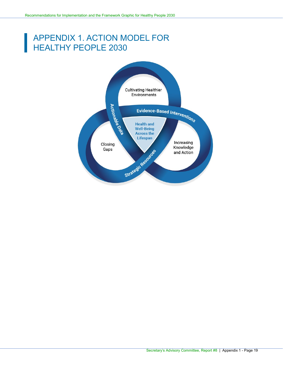## <span id="page-20-0"></span>APPENDIX 1. ACTION MODEL FOR HEALTHY PEOPLE 2030

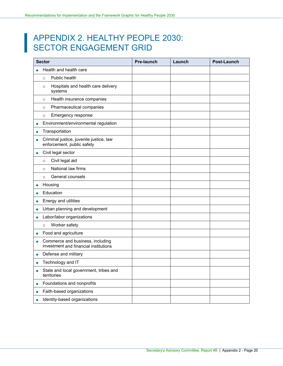## <span id="page-21-0"></span>APPENDIX 2. HEALTHY PEOPLE 2030: SECTOR ENGAGEMENT GRID

|                             | <b>Sector</b>                                                             | <b>Pre-launch</b> | Launch | <b>Post-Launch</b> |
|-----------------------------|---------------------------------------------------------------------------|-------------------|--------|--------------------|
|                             | Health and health care                                                    |                   |        |                    |
|                             | Public health<br>$\circ$                                                  |                   |        |                    |
|                             | Hospitals and health care delivery<br>$\circ$<br>systems                  |                   |        |                    |
|                             | Health insurance companies<br>$\circ$                                     |                   |        |                    |
|                             | Pharmaceutical companies<br>$\circ$                                       |                   |        |                    |
|                             | Emergency response<br>$\circ$                                             |                   |        |                    |
| п                           | Environment/environmental regulation                                      |                   |        |                    |
| п                           | Transportation                                                            |                   |        |                    |
| п                           | Criminal justice, juvenile justice, law<br>enforcement, public safety     |                   |        |                    |
| u.                          | Civil legal sector                                                        |                   |        |                    |
|                             | Civil legal aid<br>$\circ$                                                |                   |        |                    |
|                             | National law firms<br>$\circ$                                             |                   |        |                    |
|                             | General counsels<br>$\circ$                                               |                   |        |                    |
| п                           | Housing                                                                   |                   |        |                    |
| п                           | Education                                                                 |                   |        |                    |
| ×                           | Energy and utilities                                                      |                   |        |                    |
| п                           | Urban planning and development                                            |                   |        |                    |
| ×                           | Labor/labor organizations                                                 |                   |        |                    |
|                             | Worker safety<br>$\circ$                                                  |                   |        |                    |
| ш                           | Food and agriculture                                                      |                   |        |                    |
| ш                           | Commerce and business, including<br>investment and financial institutions |                   |        |                    |
| п                           | Defense and military                                                      |                   |        |                    |
| п                           | Technology and IT                                                         |                   |        |                    |
| п                           | State and local government, tribes and<br>territories                     |                   |        |                    |
| п                           | Foundations and nonprofits                                                |                   |        |                    |
| п                           | Faith-based organizations                                                 |                   |        |                    |
| $\mathcal{L}_{\mathcal{A}}$ | Identity-based organizations                                              |                   |        |                    |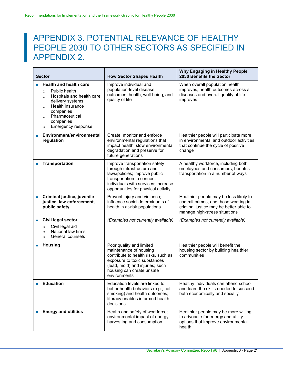## <span id="page-22-0"></span>APPENDIX 3. POTENTIAL RELEVANCE OF HEALTHY PEOPLE 2030 TO OTHER SECTORS AS SPECIFIED IN APPENDIX 2.

| <b>Sector</b> |                                                                                                                                                                                                                                              | <b>How Sector Shapes Health</b>                                                                                                                                                                           | <b>Why Engaging in Healthy People</b><br>2030 Benefits the Sector                                                                                        |
|---------------|----------------------------------------------------------------------------------------------------------------------------------------------------------------------------------------------------------------------------------------------|-----------------------------------------------------------------------------------------------------------------------------------------------------------------------------------------------------------|----------------------------------------------------------------------------------------------------------------------------------------------------------|
|               | <b>Health and health care</b><br>Public health<br>$\circ$<br>Hospitals and health care<br>$\circ$<br>delivery systems<br>Health insurance<br>$\circ$<br>companies<br>Pharmaceutical<br>$\circ$<br>companies<br>Emergency response<br>$\circ$ | Improve individual and<br>population-level disease<br>outcomes, health, well-being, and<br>quality of life                                                                                                | When overall population health<br>improves, health outcomes across all<br>diseases and overall quality of life<br>improves                               |
| п             | Environment/environmental<br>regulation                                                                                                                                                                                                      | Create, monitor and enforce<br>environmental regulations that<br>impact health; slow environmental<br>degradation and preserve for<br>future generations                                                  | Healthier people will participate more<br>in environmental and outdoor activities<br>that continue the cycle of positive<br>change                       |
| <b>I</b>      | <b>Transportation</b>                                                                                                                                                                                                                        | Improve transportation safety<br>through infrastructure and<br>laws/policies; improve public<br>transportation to connect<br>individuals with services; increase<br>opportunities for physical activity   | A healthy workforce, including both<br>employees and consumers, benefits<br>transportation in a number of ways                                           |
| L.            | Criminal justice, juvenile<br>justice, law enforcement,<br>public safety                                                                                                                                                                     | Prevent injury and violence;<br>influence social determinants of<br>health in at-risk populations                                                                                                         | Healthier people may be less likely to<br>commit crimes, and those working in<br>criminal justice may be better able to<br>manage high-stress situations |
| b.            | Civil legal sector<br>Civil legal aid<br>$\circ$<br>National law firms<br>$\circ$<br>General counsels<br>$\circ$                                                                                                                             | (Examples not currently available)                                                                                                                                                                        | (Examples not currently available)                                                                                                                       |
|               | <b>Housing</b>                                                                                                                                                                                                                               | Poor quality and limited<br>maintenance of housing<br>contribute to health risks, such as<br>exposure to toxic substances<br>(lead, mold) and injuries; such<br>housing can create unsafe<br>environments | Healthier people will benefit the<br>housing sector by building healthier<br>communities                                                                 |
|               | <b>Education</b>                                                                                                                                                                                                                             | Education levels are linked to<br>better health behaviors (e.g., not<br>smoking) and health outcomes;<br>literacy enables informed health<br>decisions                                                    | Healthy individuals can attend school<br>and learn the skills needed to succeed<br>both economically and socially                                        |
|               | <b>Energy and utilities</b>                                                                                                                                                                                                                  | Health and safety of workforce;<br>environmental impact of energy<br>harvesting and consumption                                                                                                           | Healthier people may be more willing<br>to advocate for energy and utility<br>options that improve environmental<br>health                               |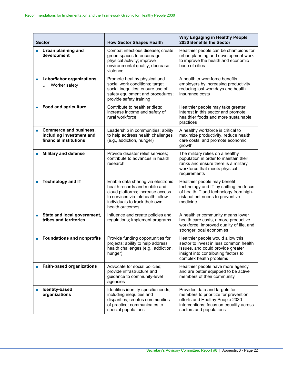| <b>Sector</b>                                                                | <b>How Sector Shapes Health</b>                                                                                                                                                                   | Why Engaging in Healthy People<br>2030 Benefits the Sector                                                                                                                          |
|------------------------------------------------------------------------------|---------------------------------------------------------------------------------------------------------------------------------------------------------------------------------------------------|-------------------------------------------------------------------------------------------------------------------------------------------------------------------------------------|
| <b>Urban planning and</b><br>П<br>development                                | Combat infectious disease; create<br>green spaces to encourage<br>physical activity; improve<br>environmental quality; decrease<br>violence                                                       | Healthier people can be champions for<br>urban planning and development work<br>to improve the health and economic<br>base of cities                                                |
| Labor/labor organizations<br>L.<br>Worker safety<br>$\circ$                  | Promote healthy physical and<br>social work conditions; target<br>social inequities; ensure use of<br>safety equipment and procedures;<br>provide safety training                                 | A healthier workforce benefits<br>employers by increasing productivity<br>reducing lost workdays and health<br>insurance costs                                                      |
| <b>Food and agriculture</b><br>п                                             | Contribute to healthier diets;<br>increase income and safety of<br>rural workforce                                                                                                                | Healthier people may take greater<br>interest in this sector and promote<br>healthier foods and more sustainable<br>practices                                                       |
| Commerce and business,<br>including investment and<br>financial institutions | Leadership in communities; ability<br>to help address health challenges<br>(e.g., addiction, hunger)                                                                                              | A healthy workforce is critical to<br>maximize productivity, reduce health<br>care costs, and promote economic<br>growth                                                            |
| <b>Military and defense</b>                                                  | Provide disaster relief services;<br>contribute to advances in health<br>research                                                                                                                 | The military relies on a healthy<br>population in order to maintain their<br>ranks and ensure there is a military<br>workforce that meets physical<br>requirements                  |
| <b>Technology and IT</b>                                                     | Enable data sharing via electronic<br>health records and mobile and<br>cloud platforms; increase access<br>to services via telehealth; allow<br>individuals to track their own<br>health outcomes | Healthier people may benefit<br>technology and IT by shifting the focus<br>of health IT and technology from high-<br>risk patient needs to preventive<br>medicine                   |
| State and local government,<br>Г.<br>tribes and territories                  | Influence and create policies and<br>regulations; implement programs                                                                                                                              | A healthier community means lower<br>health care costs, a more productive<br>workforce, improved quality of life, and<br>stronger local economies                                   |
| <b>Foundations and nonprofits</b>                                            | Provide funding opportunities for<br>projects; ability to help address<br>health challenges (e.g., addiction,<br>hunger)                                                                          | Healthier people would allow this<br>sector to invest in less common health<br>issues, and could provide greater<br>insight into contributing factors to<br>complex health problems |
| <b>Faith-based organizations</b>                                             | Advocate for social policies;<br>provide infrastructure and<br>guidance to community-level<br>agencies                                                                                            | Healthier people have more agency<br>and are better equipped to be active<br>members of their community                                                                             |
| Identity-based<br>organizations                                              | Identifies identity-specific needs,<br>including inequities and<br>disparities; creates communities<br>of practice; communicates to<br>special populations                                        | Provides data and targets for<br>members to prioritize for prevention<br>efforts and Healthy People 2030<br>interventions; focus on equality across<br>sectors and populations      |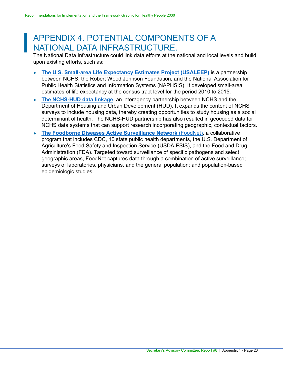## <span id="page-24-0"></span>APPENDIX 4. POTENTIAL COMPONENTS OF A NATIONAL DATA INFRASTRUCTURE.

The National Data Infrastructure could link data efforts at the national and local levels and build upon existing efforts, such as:

- **[The U.S. Small-area Life Expectancy Estimates Project \(USALEEP\)](https://www.cdc.gov/nchs/nvss/usaleep/usaleep.html)** is a partnership between NCHS, the Robert Wood Johnson Foundation, and the National Association for Public Health Statistics and Information Systems (NAPHSIS). It developed small-area estimates of life expectancy at the census tract level for the period 2010 to 2015.
- **[The NCHS-HUD data linkage](https://www.cdc.gov/nchs/data-linkage/hud.htm)**, an interagency partnership between NCHS and the Department of Housing and Urban Development (HUD). It expands the content of NCHS surveys to include housing data, thereby creating opportunities to study housing as a social determinant of health. The NCHS-HUD partnership has also resulted in geocoded data for NCHS data systems that can support research incorporating geographic, contextual factors.
- **[The Foodborne Diseases Active Surveillance Network](https://www.cdc.gov/foodnet/about.html) (FoodNet), a collaborative** program that includes CDC, 10 state public health departments, the U.S. Department of Agriculture's Food Safety and Inspection Service (USDA-FSIS), and the Food and Drug Administration (FDA). Targeted toward surveillance of specific pathogens and select geographic areas, FoodNet captures data through a combination of active surveillance; surveys of laboratories, physicians, and the general population; and population-based epidemiologic studies.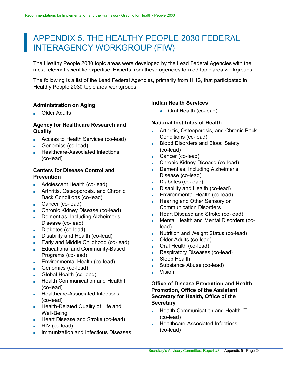## APPENDIX 5. THE HEALTHY PEOPLE 2030 FEDERAL INTERAGENCY WORKGROUP (FIW)

The Healthy People 2030 topic areas were developed by the Lead Federal Agencies with the most relevant scientific expertise. Experts from these agencies formed topic area workgroups.

The following is a list of the Lead Federal Agencies, primarily from HHS, that participated in Healthy People 2030 topic area workgroups.

## **Administration on Aging**

**Older Adults** 

## **Agency for Healthcare Research and Quality**

- Access to Health Services (co-lead)
- Genomics (co-lead)
- **Healthcare-Associated Infections** (co-lead)

## **Centers for Disease Control and Prevention**

- Adolescent Health (co-lead)
- **Arthritis, Osteoporosis, and Chronic** Back Conditions (co-lead)
- Cancer (co-lead)
- Chronic Kidney Disease (co-lead)
- Dementias, Including Alzheimer's Disease (co-lead)
- Diabetes (co-lead)
- Disability and Health (co-lead)
- Early and Middle Childhood (co-lead)
- Educational and Community-Based Programs (co-lead)
- Environmental Health (co-lead)
- Genomics (co-lead)
- Global Health (co-lead)
- Health Communication and Health IT (co-lead)
- Healthcare-Associated Infections (co-lead)
- Health-Related Quality of Life and Well-Being
- Heart Disease and Stroke (co-lead)
- HIV (co-lead)
- Immunization and Infectious Diseases

## **Indian Health Services**

• Oral Health (co-lead)

### **National Institutes of Health**

- **Arthritis, Osteoporosis, and Chronic Back** Conditions (co-lead)
- Blood Disorders and Blood Safety (co-lead)
- Cancer (co-lead)
- Chronic Kidney Disease (co-lead)
- Dementias, Including Alzheimer's Disease (co-lead)
- Diabetes (co-lead)
- Disability and Health (co-lead)
- Environmental Health (co-lead)
- Hearing and Other Sensory or Communication Disorders
- Heart Disease and Stroke (co-lead)
- Mental Health and Mental Disorders (colead)
- Nutrition and Weight Status (co-lead)
- Older Adults (co-lead)
- Oral Health (co-lead)
- Respiratory Diseases (co-lead)
- Sleep Health
- Substance Abuse (co-lead)
- **Vision**

## **Office of Disease Prevention and Health Promotion, Office of the Assistant Secretary for Health, Office of the Secretary**

- **Health Communication and Health IT** (co-lead)
- Healthcare-Associated Infections (co-lead)